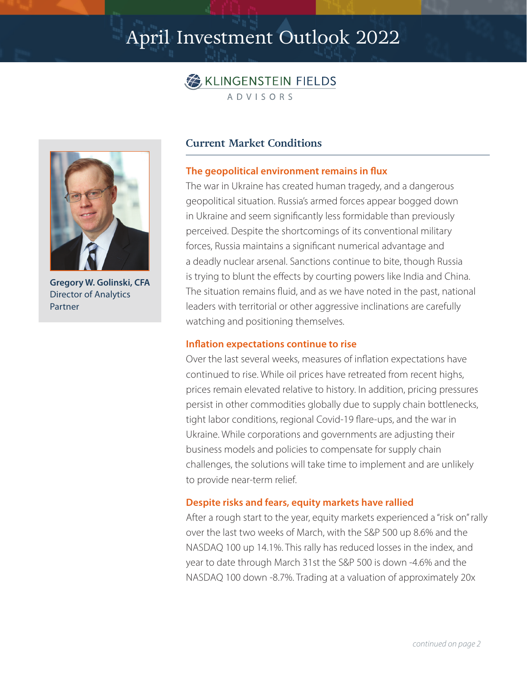## April Investment Outlook 2022





**Gregory W. Golinski, CFA** Director of Analytics Partner

### **Current Market Conditions**

#### **The geopolitical environment remains in flux**

The war in Ukraine has created human tragedy, and a dangerous geopolitical situation. Russia's armed forces appear bogged down in Ukraine and seem significantly less formidable than previously perceived. Despite the shortcomings of its conventional military forces, Russia maintains a significant numerical advantage and a deadly nuclear arsenal. Sanctions continue to bite, though Russia is trying to blunt the effects by courting powers like India and China. The situation remains fluid, and as we have noted in the past, national leaders with territorial or other aggressive inclinations are carefully watching and positioning themselves.

#### **Inflation expectations continue to rise**

Over the last several weeks, measures of inflation expectations have continued to rise. While oil prices have retreated from recent highs, prices remain elevated relative to history. In addition, pricing pressures persist in other commodities globally due to supply chain bottlenecks, tight labor conditions, regional Covid-19 flare-ups, and the war in Ukraine. While corporations and governments are adjusting their business models and policies to compensate for supply chain challenges, the solutions will take time to implement and are unlikely to provide near-term relief.

#### **Despite risks and fears, equity markets have rallied**

After a rough start to the year, equity markets experienced a "risk on" rally over the last two weeks of March, with the S&P 500 up 8.6% and the NASDAQ 100 up 14.1%. This rally has reduced losses in the index, and year to date through March 31st the S&P 500 is down -4.6% and the NASDAQ 100 down -8.7%. Trading at a valuation of approximately 20x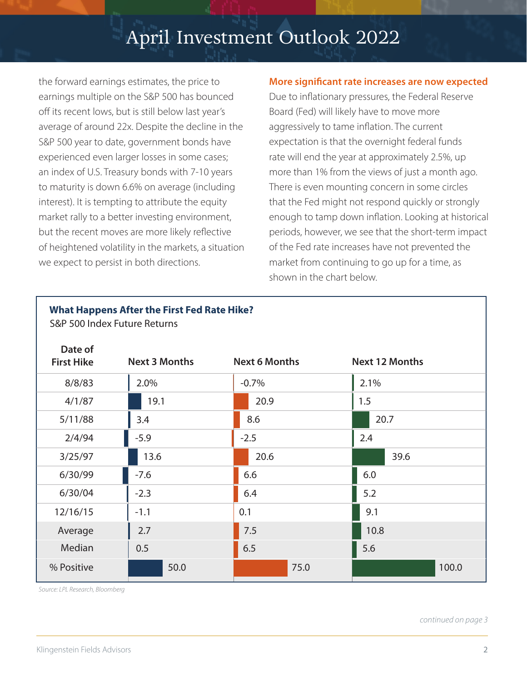# April Investment Outlook 2022

the forward earnings estimates, the price to earnings multiple on the S&P 500 has bounced off its recent lows, but is still below last year's average of around 22x. Despite the decline in the S&P 500 year to date, government bonds have experienced even larger losses in some cases; an index of U.S. Treasury bonds with 7-10 years to maturity is down 6.6% on average (including interest). It is tempting to attribute the equity market rally to a better investing environment, but the recent moves are more likely reflective of heightened volatility in the markets, a situation we expect to persist in both directions.

**What Happens After the First Fed Rate Hike?**

### **More significant rate increases are now expected**

Due to inflationary pressures, the Federal Reserve Board (Fed) will likely have to move more aggressively to tame inflation. The current expectation is that the overnight federal funds rate will end the year at approximately 2.5%, up more than 1% from the views of just a month ago. There is even mounting concern in some circles that the Fed might not respond quickly or strongly enough to tamp down inflation. Looking at historical periods, however, we see that the short-term impact of the Fed rate increases have not prevented the market from continuing to go up for a time, as shown in the chart below.

| S&P 500 Index Future Returns |                      |                      |                       |
|------------------------------|----------------------|----------------------|-----------------------|
| Date of<br><b>First Hike</b> | <b>Next 3 Months</b> | <b>Next 6 Months</b> | <b>Next 12 Months</b> |
| 8/8/83                       | 2.0%                 | $-0.7%$              | 2.1%                  |
| 4/1/87                       | 19.1                 | 20.9                 | 1.5                   |
| 5/11/88                      | 3.4                  | 8.6                  | 20.7                  |
| 2/4/94                       | $-5.9$               | $-2.5$               | 2.4                   |
| 3/25/97                      | 13.6                 | 20.6                 | 39.6                  |
| 6/30/99                      | $-7.6$               | 6.6                  | 6.0                   |
| 6/30/04                      | $-2.3$               | 6.4                  | 5.2                   |
| 12/16/15                     | $-1.1$               | 0.1                  | 9.1                   |
| Average                      | 2.7                  | 7.5                  | 10.8                  |
| Median                       | 0.5                  | 6.5                  | 5.6                   |
| % Positive                   | 50.0                 | 75.0                 | 100.0                 |

*Source: LPL Research, Bloomberg*

*continued on page 3*